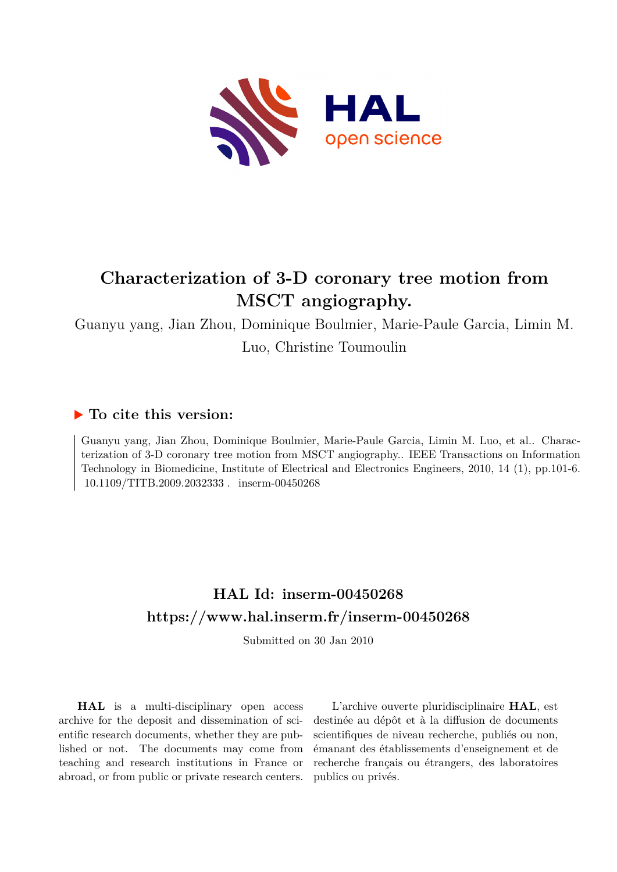

# **Characterization of 3-D coronary tree motion from MSCT angiography.**

Guanyu yang, Jian Zhou, Dominique Boulmier, Marie-Paule Garcia, Limin M. Luo, Christine Toumoulin

## **To cite this version:**

Guanyu yang, Jian Zhou, Dominique Boulmier, Marie-Paule Garcia, Limin M. Luo, et al.. Characterization of 3-D coronary tree motion from MSCT angiography.. IEEE Transactions on Information Technology in Biomedicine, Institute of Electrical and Electronics Engineers, 2010, 14 (1), pp.101-6. 10.1109/TITB.2009.2032333 . inserm-00450268

# **HAL Id: inserm-00450268 <https://www.hal.inserm.fr/inserm-00450268>**

Submitted on 30 Jan 2010

**HAL** is a multi-disciplinary open access archive for the deposit and dissemination of scientific research documents, whether they are published or not. The documents may come from teaching and research institutions in France or abroad, or from public or private research centers.

L'archive ouverte pluridisciplinaire **HAL**, est destinée au dépôt et à la diffusion de documents scientifiques de niveau recherche, publiés ou non, émanant des établissements d'enseignement et de recherche français ou étrangers, des laboratoires publics ou privés.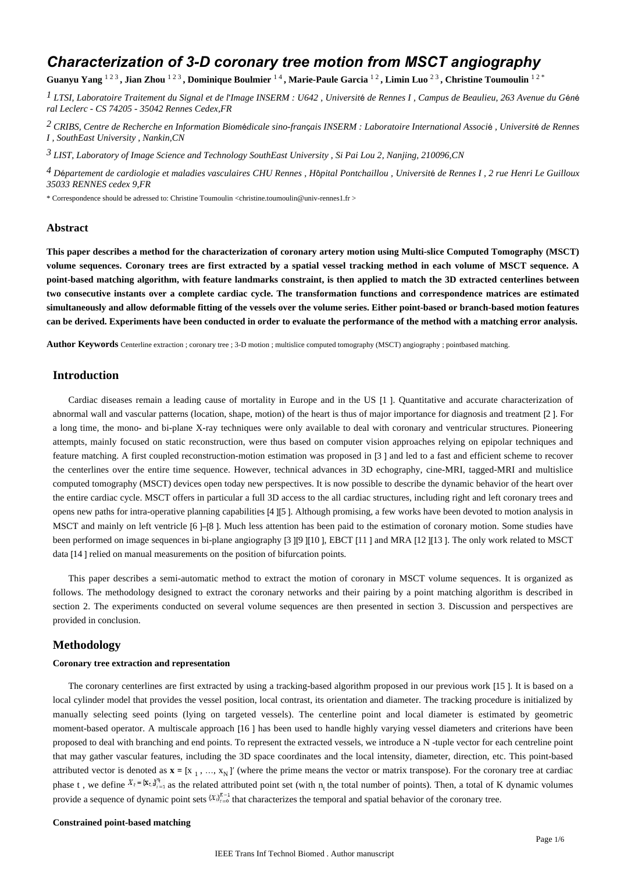## *Characterization of 3-D coronary tree motion from MSCT angiography*

Guanyu Yang <sup>123</sup>, Jian Zhou <sup>123</sup>, Dominique Boulmier <sup>14</sup>, Marie-Paule Garcia <sup>12</sup>, Limin Luo <sup>23</sup>, Christine Toumoulin <sup>12</sup><sup>\*</sup>

<sup>1</sup> LTSI, Laboratoire Traitement du Signal et de l'Image INSERM : U642, Université de Rennes I, Campus de Beaulieu, 263 Avenue du Géné *ral Leclerc - CS 74205 - 35042 Rennes Cedex,FR*

*CRIBS, Centre de Recherche en Information Biom dicale sino-fran ais 2* <sup>é</sup> <sup>ç</sup> *INSERM : Laboratoire International Associ*<sup>é</sup> *, Universit*é *de Rennes I , SouthEast University , Nankin,CN*

*LIST, Laboratory of Image Science and Technology 3 SouthEast University , Si Pai Lou 2, Nanjing, 210096,CN*

<sup>4</sup> Département de cardiologie et maladies vasculaires CHU Rennes , *H*ôpital Pontchaillou , Université de Rennes I , 2 rue Henri Le Guilloux *35033 RENNES cedex 9,FR*

\* Correspondence should be adressed to: Christine Toumoulin <christine.toumoulin@univ-rennes1.fr >

## **Abstract**

**This paper describes a method for the characterization of coronary artery motion using Multi-slice Computed Tomography (MSCT) volume sequences. Coronary trees are first extracted by a spatial vessel tracking method in each volume of MSCT sequence. A point-based matching algorithm, with feature landmarks constraint, is then applied to match the 3D extracted centerlines between two consecutive instants over a complete cardiac cycle. The transformation functions and correspondence matrices are estimated simultaneously and allow deformable fitting of the vessels over the volume series. Either point-based or branch-based motion features can be derived. Experiments have been conducted in order to evaluate the performance of the method with a matching error analysis.**

**Author Keywords** Centerline extraction ; coronary tree ; 3-D motion ; multislice computed tomography (MSCT) angiography ; pointbased matching.

## **Introduction**

Cardiac diseases remain a leading cause of mortality in Europe and in the US [1 ]. Quantitative and accurate characterization of abnormal wall and vascular patterns (location, shape, motion) of the heart is thus of major importance for diagnosis and treatment [2 ]. For a long time, the mono- and bi-plane X-ray techniques were only available to deal with coronary and ventricular structures. Pioneering attempts, mainly focused on static reconstruction, were thus based on computer vision approaches relying on epipolar techniques and feature matching. A first coupled reconstruction-motion estimation was proposed in [3 ] and led to a fast and efficient scheme to recover the centerlines over the entire time sequence. However, technical advances in 3D echography, cine-MRI, tagged-MRI and multislice computed tomography (MSCT) devices open today new perspectives. It is now possible to describe the dynamic behavior of the heart over the entire cardiac cycle. MSCT offers in particular a full 3D access to the all cardiac structures, including right and left coronary trees and opens new paths for intra-operative planning capabilities [4 ][5 ]. Although promising, a few works have been devoted to motion analysis in MSCT and mainly on left ventricle [6 ]–[8 ]. Much less attention has been paid to the estimation of coronary motion. Some studies have been performed on image sequences in bi-plane angiography [3 ][9 ][10 ], EBCT [11 ] and MRA [12 ][13 ]. The only work related to MSCT data [14 ] relied on manual measurements on the position of bifurcation points.

This paper describes a semi-automatic method to extract the motion of coronary in MSCT volume sequences. It is organized as follows. The methodology designed to extract the coronary networks and their pairing by a point matching algorithm is described in section 2. The experiments conducted on several volume sequences are then presented in section 3. Discussion and perspectives are provided in conclusion.

## **Methodology**

#### **Coronary tree extraction and representation**

The coronary centerlines are first extracted by using a tracking-based algorithm proposed in our previous work [15 ]. It is based on a local cylinder model that provides the vessel position, local contrast, its orientation and diameter. The tracking procedure is initialized by manually selecting seed points (lying on targeted vessels). The centerline point and local diameter is estimated by geometric moment-based operator. A multiscale approach [16 ] has been used to handle highly varying vessel diameters and criterions have been proposed to deal with branching and end points. To represent the extracted vessels, we introduce a N -tuple vector for each centreline point that may gather vascular features, including the 3D space coordinates and the local intensity, diameter, direction, etc. This point-based attributed vector is denoted as  $\mathbf{x} = [x_1, ..., x_N]$ <sup>'</sup> (where the prime means the vector or matrix transpose). For the coronary tree at cardiac phase t , we define  $X_t = \{x_t\}_{t=1}^T$  as the related attributed point set (with n the total number of points). Then, a total of K dynamic volumes provide a sequence of dynamic point sets  $\{X_i\}_{i=0}^{K-1}$  that characterizes the temporal and spatial behavior of the coronary tree.

### **Constrained point-based matching**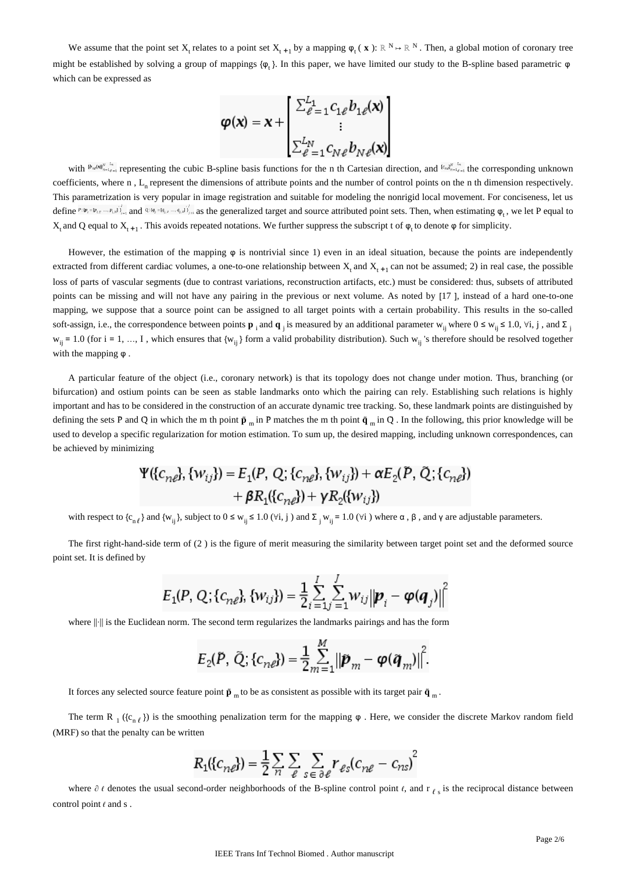We assume that the point set  $X_t$  relates to a point set  $X_{t+1}$  by a mapping  $\varphi_t(x)$ :  $\mathbb{R}^N \to \mathbb{R}^N$ . Then, a global motion of coronary tree might be established by solving a group of mappings  $\{\varphi_k\}$ . In this paper, we have limited our study to the B-spline based parametric  $\varphi$ which can be expressed as

$$
\varphi(\mathbf{x}) = \mathbf{x} + \begin{bmatrix} \sum_{\ell=1}^{L_1} c_{1\ell} b_{1\ell}(\mathbf{x}) \\ \vdots \\ \sum_{\ell=1}^{L_N} c_{N\ell} b_{N\ell}(\mathbf{x}) \end{bmatrix}
$$

with  ${}^{b_n}$ ( ${}^{b_n}$  ${}^{b_n}$  ${}^{c_n}$  representing the cubic B-spline basis functions for the n th Cartesian direction, and  ${}^{c_n}$  ${}^{b_n}$  ${}^{c_n}$  the corresponding unknown coefficients, where  $n$ , L<sub>n</sub> represent the dimensions of attribute points and the number of control points on the  $n$  th dimension respectively. This parametrization is very popular in image registration and suitable for modeling the nonrigid local movement. For conciseness, let us define  $P:\{\psi_i = \psi_{i,x}, \dots, \psi_{i,y}\}\mathbb{I}_{i=1}^T$  and  $Q:\{\mathcal{A}_i = \mathcal{A}_{i,x}, \dots, \mathcal{A}_{i,y}\}\mathbb{I}_{i=1}^T$  as the generalized target and source attributed point sets. Then, when estimating  $\varphi_t$ , we let P equal to  $X_t$  and Q equal to  $X_{t+1}$ . This avoids repeated notations. We further suppress the subscript t of φ<sub>t</sub> to denote φ for simplicity.

However, the estimation of the mapping  $\varphi$  is nontrivial since 1) even in an ideal situation, because the points are independently extracted from different cardiac volumes, a one-to-one relationship between  $X_i$  and  $X_{i+1}$  can not be assumed; 2) in real case, the possible loss of parts of vascular segments (due to contrast variations, reconstruction artifacts, etc.) must be considered: thus, subsets of attributed points can be missing and will not have any pairing in the previous or next volume. As noted by [17 ], instead of a hard one-to-one mapping, we suppose that a source point can be assigned to all target points with a certain probability. This results in the so-called soft-assign, i.e., the correspondence between points **p**<sub>i</sub> and **q**<sub>i</sub> is measured by an additional parameter w<sub>ij</sub> where  $0 \le w_{ij} \le 1.0$ ,  $\forall i, j$ , and  $\Sigma$  $w_{ii} = 1.0$  (for i = 1, ..., I, which ensures that  $\{w_{ii}\}$  form a valid probability distribution). Such  $w_{ii}$ 's therefore should be resolved together with the mapping φ .

A particular feature of the object (i.e., coronary network) is that its topology does not change under motion. Thus, branching (or bifurcation) and ostium points can be seen as stable landmarks onto which the pairing can rely. Establishing such relations is highly important and has to be considered in the construction of an accurate dynamic tree tracking. So, these landmark points are distinguished by defining the sets P and Q in which the m th point  $\tilde{p}$  m in P matches the m th point  $\tilde{q}$  m in Q. In the following, this prior knowledge will be used to develop a specific regularization for motion estimation. To sum up, the desired mapping, including unknown correspondences, can be achieved by minimizing

$$
\Psi(\{c_{n\ell}\}, \{w_{ij}\}) = E_1(P, Q; \{c_{n\ell}\}, \{w_{ij}\}) + \alpha E_2(\tilde{P}, \tilde{Q}; \{c_{n\ell}\}) + \beta R_1(\{c_{n\ell}\}) + \gamma R_2(\{w_{ij}\})
$$

with respect to  ${c_{n\ell}}$  and  ${w_{ij}}$ , subject to  $0 \le w_{ij} \le 1.0$  ( $\forall i, j$ ) and  $\Sigma_j w_{ij} = 1.0$  ( $\forall i$ ) where  $\alpha$ ,  $\beta$ , and  $\gamma$  are adjustable parameters.

The first right-hand-side term of (2 ) is the figure of merit measuring the similarity between target point set and the deformed source point set. It is defined by

$$
E_1(P, Q; \{c_{n\ell}\}, \{w_{ij}\}) = \frac{1}{2} \sum_{i=1}^{I} \sum_{j=1}^{J} w_{ij} ||\boldsymbol{p}_i - \boldsymbol{\varphi}(\boldsymbol{q}_j)||^2
$$

where ||·|| is the Euclidean norm. The second term regularizes the landmarks pairings and has the form

$$
E_2(\tilde{P}, \tilde{Q}, \{c_{n\ell}\}) = \frac{1}{2} \sum_{m=1}^{M} ||\tilde{P}_m - \varphi(\tilde{q}_m)||^2.
$$

It forces any selected source feature point  $\tilde{p}$ <sub>m</sub> to be as consistent as possible with its target pair  $\tilde{q}$ <sub>m</sub>.

The term R  $_1$  ({c<sub>n ℓ</sub>}) is the smoothing penalization term for the mapping  $\varphi$ . Here, we consider the discrete Markov random field (MRF) so that the penalty can be written

$$
R_1({c_{ne}}) = \frac{1}{2} \sum_{n} \sum_{e} \sum_{s \in \partial e} r_{e s} (c_{n e} - c_{n s})^2
$$

where  $\partial \ell$  denotes the usual second-order neighborhoods of the B-spline control point  $\ell$ , and  $r_{\ell s}$  is the reciprocal distance between control point  $\ell$  and s.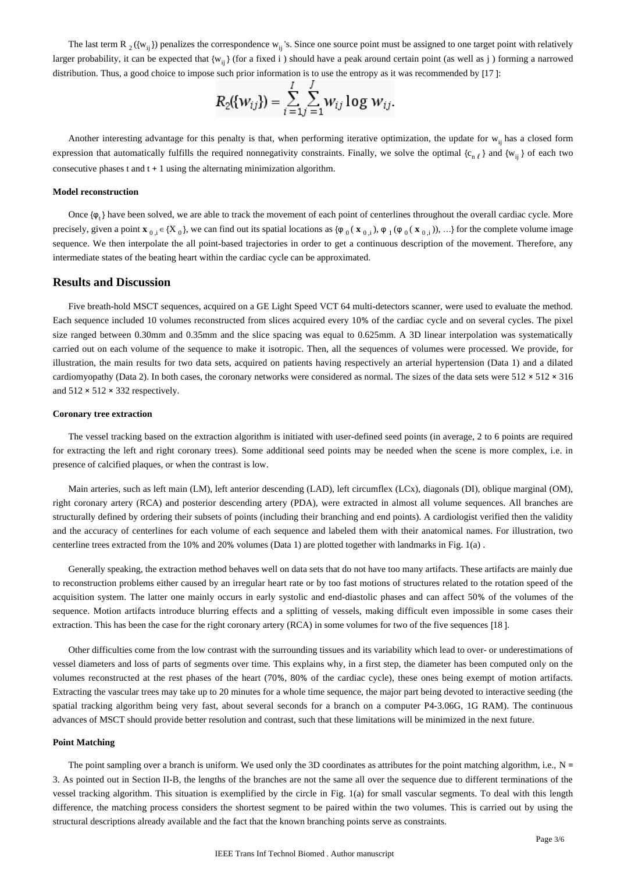The last term R<sub>2</sub>({w<sub>ij</sub>}) penalizes the correspondence w<sub>ij</sub>'s. Since one source point must be assigned to one target point with relatively larger probability, it can be expected that  ${w_{ij}}$  (for a fixed i) should have a peak around certain point (as well as j) forming a narrowed distribution. Thus, a good choice to impose such prior information is to use the entropy as it was recommended by [17 ]:

$$
R_2({w_{ij}}) = \sum_{i=1}^{I} \sum_{j=1}^{I} w_{ij} \log w_{ij}.
$$

Another interesting advantage for this penalty is that, when performing iterative optimization, the update for  $w_{ij}$  has a closed form expression that automatically fulfills the required nonnegativity constraints. Finally, we solve the optimal  ${c_{n\ell}}$  and  ${w_{ij}}$  of each two consecutive phases t and t + 1 using the alternating minimization algorithm.

#### **Model reconstruction**

Once  ${φ,}$  have been solved, we are able to track the movement of each point of centerlines throughout the overall cardiac cycle. More precisely, given a point **x**<sub>0, i</sub> ∈ {X<sub>0</sub>}, we can find out its spatial locations as { $\varphi_0$  (**x**<sub>0,i</sub>),  $\varphi_1$  ( $\varphi_0$  (**x**<sub>0,i</sub>)), ...} for the complete volume image sequence. We then interpolate the all point-based trajectories in order to get a continuous description of the movement. Therefore, any intermediate states of the beating heart within the cardiac cycle can be approximated.

## **Results and Discussion**

Five breath-hold MSCT sequences, acquired on a GE Light Speed VCT 64 multi-detectors scanner, were used to evaluate the method. Each sequence included 10 volumes reconstructed from slices acquired every 10% of the cardiac cycle and on several cycles. The pixel size ranged between 0.30mm and 0.35mm and the slice spacing was equal to 0.625mm. A 3D linear interpolation was systematically carried out on each volume of the sequence to make it isotropic. Then, all the sequences of volumes were processed. We provide, for illustration, the main results for two data sets, acquired on patients having respectively an arterial hypertension (Data 1) and a dilated cardiomyopathy (Data 2). In both cases, the coronary networks were considered as normal. The sizes of the data sets were  $512 \times 512 \times 316$ and  $512 \times 512 \times 332$  respectively.

#### **Coronary tree extraction**

The vessel tracking based on the extraction algorithm is initiated with user-defined seed points (in average, 2 to 6 points are required for extracting the left and right coronary trees). Some additional seed points may be needed when the scene is more complex, i.e. in presence of calcified plaques, or when the contrast is low.

Main arteries, such as left main (LM), left anterior descending (LAD), left circumflex (LCx), diagonals (DI), oblique marginal (OM), right coronary artery (RCA) and posterior descending artery (PDA), were extracted in almost all volume sequences. All branches are structurally defined by ordering their subsets of points (including their branching and end points). A cardiologist verified then the validity and the accuracy of centerlines for each volume of each sequence and labeled them with their anatomical names. For illustration, two centerline trees extracted from the 10% and 20% volumes (Data 1) are plotted together with landmarks in Fig. 1(a) .

Generally speaking, the extraction method behaves well on data sets that do not have too many artifacts. These artifacts are mainly due to reconstruction problems either caused by an irregular heart rate or by too fast motions of structures related to the rotation speed of the acquisition system. The latter one mainly occurs in early systolic and end-diastolic phases and can affect 50% of the volumes of the sequence. Motion artifacts introduce blurring effects and a splitting of vessels, making difficult even impossible in some cases their extraction. This has been the case for the right coronary artery (RCA) in some volumes for two of the five sequences [18 ].

Other difficulties come from the low contrast with the surrounding tissues and its variability which lead to over- or underestimations of vessel diameters and loss of parts of segments over time. This explains why, in a first step, the diameter has been computed only on the volumes reconstructed at the rest phases of the heart (70%, 80% of the cardiac cycle), these ones being exempt of motion artifacts. Extracting the vascular trees may take up to 20 minutes for a whole time sequence, the major part being devoted to interactive seeding (the spatial tracking algorithm being very fast, about several seconds for a branch on a computer P4-3.06G, 1G RAM). The continuous advances of MSCT should provide better resolution and contrast, such that these limitations will be minimized in the next future.

#### **Point Matching**

The point sampling over a branch is uniform. We used only the 3D coordinates as attributes for the point matching algorithm, i.e.,  $N =$ 3. As pointed out in Section II-B, the lengths of the branches are not the same all over the sequence due to different terminations of the vessel tracking algorithm. This situation is exemplified by the circle in Fig. 1(a) for small vascular segments. To deal with this length difference, the matching process considers the shortest segment to be paired within the two volumes. This is carried out by using the structural descriptions already available and the fact that the known branching points serve as constraints.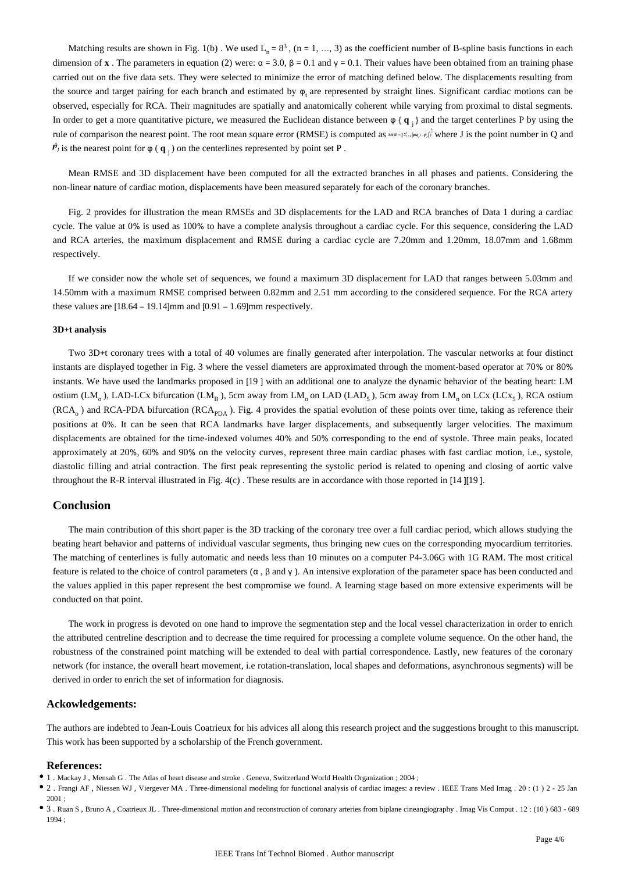Matching results are shown in Fig. 1(b). We used  $L_n = 8^3$ , (n = 1, ..., 3) as the coefficient number of B-spline basis functions in each dimension of **x**. The parameters in equation (2) were:  $\alpha$  = 3.0, β = 0.1 and γ = 0.1. Their values have been obtained from an training phase carried out on the five data sets. They were selected to minimize the error of matching defined below. The displacements resulting from the source and target pairing for each branch and estimated by  $\varphi$ , are represented by straight lines. Significant cardiac motions can be observed, especially for RCA. Their magnitudes are spatially and anatomically coherent while varying from proximal to distal segments. In order to get a more quantitative picture, we measured the Euclidean distance between  $\varphi \{ \mathbf{q}_i \}$  and the target centerlines P by using the rule of comparison the nearest point. The root mean square error (RMSE) is computed as  $\exp(-\beta_0^{\frac{1}{2}} \sin \beta_0)$  where J is the point number in Q and is the nearest point for  $\varphi$  ( $\mathbf{q}_j$ ) on the centerlines represented by point set P.

Mean RMSE and 3D displacement have been computed for all the extracted branches in all phases and patients. Considering the non-linear nature of cardiac motion, displacements have been measured separately for each of the coronary branches.

Fig. 2 provides for illustration the mean RMSEs and 3D displacements for the LAD and RCA branches of Data 1 during a cardiac cycle. The value at 0% is used as 100% to have a complete analysis throughout a cardiac cycle. For this sequence, considering the LAD and RCA arteries, the maximum displacement and RMSE during a cardiac cycle are 7.20mm and 1.20mm, 18.07mm and 1.68mm respectively.

If we consider now the whole set of sequences, we found a maximum 3D displacement for LAD that ranges between 5.03mm and 14.50mm with a maximum RMSE comprised between 0.82mm and 2.51 mm according to the considered sequence. For the RCA artery these values are [18.64 – 19.14]mm and [0.91 – 1.69]mm respectively.

#### **3D**+**t analysis**

Two 3D+t coronary trees with a total of 40 volumes are finally generated after interpolation. The vascular networks at four distinct instants are displayed together in Fig. 3 where the vessel diameters are approximated through the moment-based operator at 70% or 80% instants. We have used the landmarks proposed in [19 ] with an additional one to analyze the dynamic behavior of the beating heart: LM ostium (LM<sub>o</sub>), LAD-LCx bifurcation (LM<sub>B</sub>), 5cm away from LM<sub>o</sub> on LAD (LAD<sub>5</sub>), 5cm away from LM<sub>o</sub> on LCx (LCx<sub>5</sub>), RCA ostium  $(RCA<sub>o</sub>)$  and RCA-PDA bifurcation  $(RCA<sub>PDA</sub>)$ . Fig. 4 provides the spatial evolution of these points over time, taking as reference their positions at 0%. It can be seen that RCA landmarks have larger displacements, and subsequently larger velocities. The maximum displacements are obtained for the time-indexed volumes 40% and 50% corresponding to the end of systole. Three main peaks, located approximately at 20%, 60% and 90% on the velocity curves, represent three main cardiac phases with fast cardiac motion, i.e., systole, diastolic filling and atrial contraction. The first peak representing the systolic period is related to opening and closing of aortic valve throughout the R-R interval illustrated in Fig. 4(c) . These results are in accordance with those reported in [14 ][19 ].

## **Conclusion**

The main contribution of this short paper is the 3D tracking of the coronary tree over a full cardiac period, which allows studying the beating heart behavior and patterns of individual vascular segments, thus bringing new cues on the corresponding myocardium territories. The matching of centerlines is fully automatic and needs less than 10 minutes on a computer P4-3.06G with 1G RAM. The most critical feature is related to the choice of control parameters  $(α, β$  and  $γ)$ . An intensive exploration of the parameter space has been conducted and the values applied in this paper represent the best compromise we found. A learning stage based on more extensive experiments will be conducted on that point.

The work in progress is devoted on one hand to improve the segmentation step and the local vessel characterization in order to enrich the attributed centreline description and to decrease the time required for processing a complete volume sequence. On the other hand, the robustness of the constrained point matching will be extended to deal with partial correspondence. Lastly, new features of the coronary network (for instance, the overall heart movement, i.e rotation-translation, local shapes and deformations, asynchronous segments) will be derived in order to enrich the set of information for diagnosis.

### **Ackowledgements:**

The authors are indebted to Jean-Louis Coatrieux for his advices all along this research project and the suggestions brought to this manuscript. This work has been supported by a scholarship of the French government.

#### **References:**

- 1 . Mackay J , Mensah G . The Atlas of heart disease and stroke . Geneva, Switzerland World Health Organization ; 2004 ;
- 2. Frangi AF, Niessen WJ, Viergever MA. Three-dimensional modeling for functional analysis of cardiac images: a review. IEEE Trans Med Imag . 20: (1) 2 25 Jan 2001 ;

<sup>3 .</sup> Ruan S , Bruno A , Coatrieux JL . Three-dimensional motion and reconstruction of coronary arteries from biplane cineangiography . Imag Vis Comput . 12 : (10 ) 683 - 689 1994 ;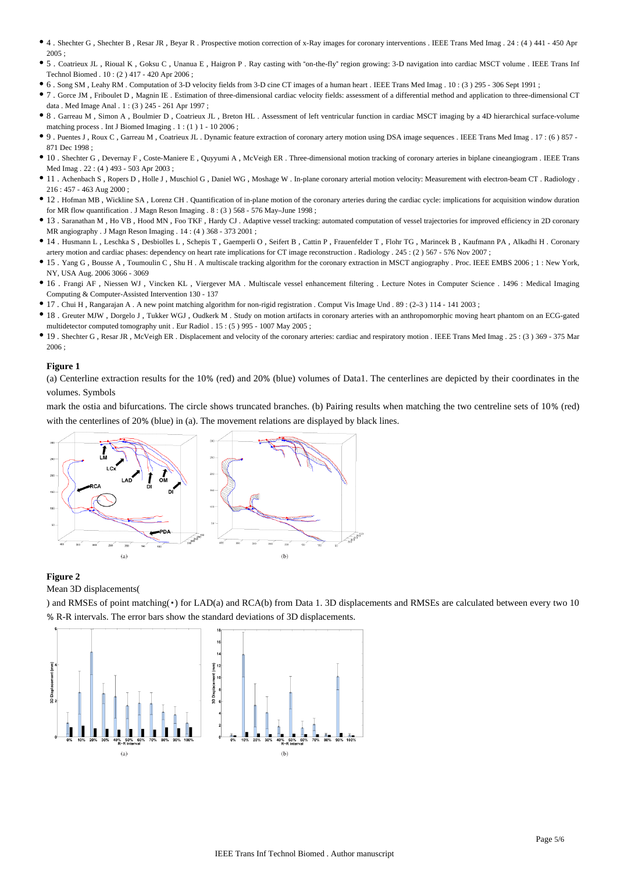- 4 . Shechter G , Shechter B , Resar JR , Beyar R . Prospective motion correction of x-Ray images for coronary interventions . IEEE Trans Med Imag . 24 : (4 ) 441 450 Apr 2005 ;
- 5 . Coatrieux JL , Rioual K , Goksu C , Unanua E , Haigron P . Ray casting with "on-the-fly" region growing: 3-D navigation into cardiac MSCT volume . IEEE Trans Inf Technol Biomed . 10 : (2 ) 417 - 420 Apr 2006 ;
- 6 . Song SM , Leahy RM . Computation of 3-D velocity fields from 3-D cine CT images of a human heart . IEEE Trans Med Imag . 10 : (3 ) 295 306 Sept 1991 ;
- 7 . Gorce JM , Friboulet D , Magnin IE . Estimation of three-dimensional cardiac velocity fields: assessment of a differential method and application to three-dimensional CT data . Med Image Anal . 1 : (3 ) 245 - 261 Apr 1997 ;
- 8 . Garreau M , Simon A , Boulmier D , Coatrieux JL , Breton HL . Assessment of left ventricular function in cardiac MSCT imaging by a 4D hierarchical surface-volume matching process . Int J Biomed Imaging . 1 : (1 ) 1 - 10 2006 ;
- 9 . Puentes J , Roux C , Garreau M , Coatrieux JL . Dynamic feature extraction of coronary artery motion using DSA image sequences . IEEE Trans Med Imag . 17 : (6 ) 857 871 Dec 1998 ;
- 10 . Shechter G , Devernay F , Coste-Maniere E , Quyyumi A , McVeigh ER . Three-dimensional motion tracking of coronary arteries in biplane cineangiogram . IEEE Trans Med Imag . 22 : (4 ) 493 - 503 Apr 2003 ;
- 11 . Achenbach S , Ropers D , Holle J , Muschiol G , Daniel WG , Moshage W . In-plane coronary arterial motion velocity: Measurement with electron-beam CT . Radiology . 216 : 457 - 463 Aug 2000 ;
- 12 . Hofman MB , Wickline SA , Lorenz CH . Quantification of in-plane motion of the coronary arteries during the cardiac cycle: implications for acquisition window duration for MR flow quantification . J Magn Reson Imaging . 8 : (3 ) 568 - 576 May–June 1998 ;
- 13 . Saranathan M , Ho VB , Hood MN , Foo TKF , Hardy CJ . Adaptive vessel tracking: automated computation of vessel trajectories for improved efficiency in 2D coronary MR angiography . J Magn Reson Imaging . 14 : (4 ) 368 - 373 2001 ;
- 14 . Husmann L , Leschka S , Desbiolles L , Schepis T , Gaemperli O , Seifert B , Cattin P , Frauenfelder T , Flohr TG , Marincek B , Kaufmann PA , Alkadhi H . Coronary artery motion and cardiac phases: dependency on heart rate implications for CT image reconstruction . Radiology . 245 : (2 ) 567 - 576 Nov 2007 ;
- 15 . Yang G , Bousse A , Toumoulin C , Shu H . A multiscale tracking algorithm for the coronary extraction in MSCT angiography . Proc. IEEE EMBS 2006 ; 1 : New York, NY, USA Aug. 2006 3066 - 3069
- 16 . Frangi AF , Niessen WJ , Vincken KL , Viergever MA . Multiscale vessel enhancement filtering . Lecture Notes in Computer Science . 1496 : Medical Imaging Computing & Computer-Assisted Intervention 130 - 137
- 17 . Chui H , Rangarajan A . A new point matching algorithm for non-rigid registration . Comput Vis Image Und . 89 : (2–3 ) 114 141 2003 ;
- 18 . Greuter MJW , Dorgelo J , Tukker WGJ , Oudkerk M . Study on motion artifacts in coronary arteries with an anthropomorphic moving heart phantom on an ECG-gated multidetector computed tomography unit . Eur Radiol . 15 : (5 ) 995 - 1007 May 2005 ;
- 19 . Shechter G , Resar JR , McVeigh ER . Displacement and velocity of the coronary arteries: cardiac and respiratory motion . IEEE Trans Med Imag . 25 : (3 ) 369 375 Mar 2006 ;

## **Figure 1**

(a) Centerline extraction results for the 10% (red) and 20% (blue) volumes of Data1. The centerlines are depicted by their coordinates in the volumes. Symbols

mark the ostia and bifurcations. The circle shows truncated branches. (b) Pairing results when matching the two centreline sets of 10% (red) with the centerlines of 20% (blue) in (a). The movement relations are displayed by black lines.



## **Figure 2**

Mean 3D displacements(

) and RMSEs of point matching( $\cdot$ ) for LAD(a) and RCA(b) from Data 1. 3D displacements and RMSEs are calculated between every two 10 % R-R intervals. The error bars show the standard deviations of 3D displacements.